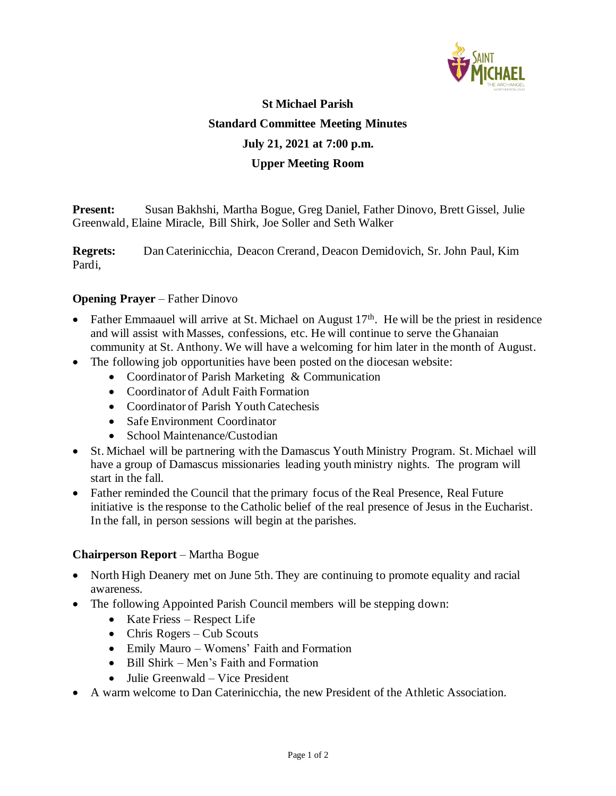

# **St Michael Parish Standard Committee Meeting Minutes July 21, 2021 at 7:00 p.m. Upper Meeting Room**

**Present:** Susan Bakhshi, Martha Bogue, Greg Daniel, Father Dinovo, Brett Gissel, Julie Greenwald, Elaine Miracle, Bill Shirk, Joe Soller and Seth Walker

**Regrets:** Dan Caterinicchia, Deacon Crerand, Deacon Demidovich, Sr. John Paul, Kim Pardi,

### **Opening Prayer** – Father Dinovo

- Father Emmaauel will arrive at St. Michael on August  $17<sup>th</sup>$ . He will be the priest in residence and will assist with Masses, confessions, etc. He will continue to serve the Ghanaian community at St. Anthony. We will have a welcoming for him later in the month of August.
- The following job opportunities have been posted on the diocesan website:
	- Coordinator of Parish Marketing & Communication
	- Coordinator of Adult Faith Formation
	- Coordinator of Parish Youth Catechesis
	- Safe Environment Coordinator
	- School Maintenance/Custodian
- St. Michael will be partnering with the Damascus Youth Ministry Program. St. Michael will have a group of Damascus missionaries leading youth ministry nights. The program will start in the fall.
- Father reminded the Council that the primary focus of the Real Presence, Real Future initiative is the response to the Catholic belief of the real presence of Jesus in the Eucharist. In the fall, in person sessions will begin at the parishes.

#### **Chairperson Report** – Martha Bogue

- North High Deanery met on June 5th. They are continuing to promote equality and racial awareness.
- The following Appointed Parish Council members will be stepping down:
	- Kate Friess Respect Life
	- Chris Rogers Cub Scouts
	- Emily Mauro Womens' Faith and Formation
	- Bill Shirk Men's Faith and Formation
	- Julie Greenwald Vice President
- A warm welcome to Dan Caterinicchia, the new President of the Athletic Association.